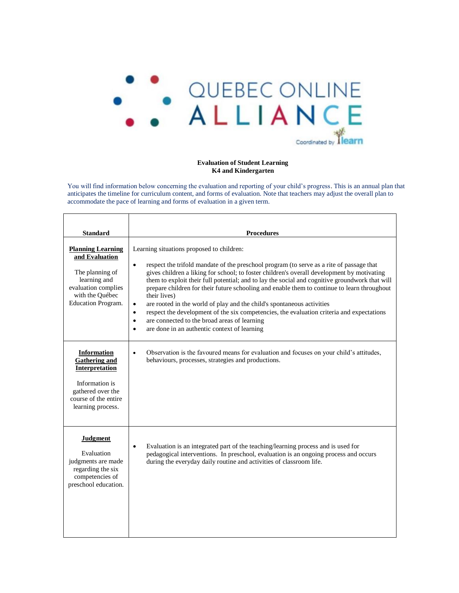

## **Evaluation of Student Learning K4 and Kindergarten**

You will find information below concerning the evaluation and reporting of your child's progress. This is an annual plan that anticipates the timeline for curriculum content, and forms of evaluation. Note that teachers may adjust the overall plan to accommodate the pace of learning and forms of evaluation in a given term.

| <b>Standard</b>                                                                                                                                         | <b>Procedures</b>                                                                                                                                                                                                                                                                                                                                                                                                                                                                                                                                                                                                                                                                                                                                                                            |
|---------------------------------------------------------------------------------------------------------------------------------------------------------|----------------------------------------------------------------------------------------------------------------------------------------------------------------------------------------------------------------------------------------------------------------------------------------------------------------------------------------------------------------------------------------------------------------------------------------------------------------------------------------------------------------------------------------------------------------------------------------------------------------------------------------------------------------------------------------------------------------------------------------------------------------------------------------------|
| <b>Planning Learning</b><br>and Evaluation<br>The planning of<br>learning and<br>evaluation complies<br>with the Québec<br>Education Program.           | Learning situations proposed to children:<br>respect the trifold mandate of the preschool program (to serve as a rite of passage that<br>$\bullet$<br>gives children a liking for school; to foster children's overall development by motivating<br>them to exploit their full potential; and to lay the social and cognitive groundwork that will<br>prepare children for their future schooling and enable them to continue to learn throughout<br>their lives)<br>are rooted in the world of play and the child's spontaneous activities<br>$\bullet$<br>respect the development of the six competencies, the evaluation criteria and expectations<br>$\bullet$<br>are connected to the broad areas of learning<br>$\bullet$<br>are done in an authentic context of learning<br>$\bullet$ |
| <b>Information</b><br><b>Gathering and</b><br><b>Interpretation</b><br>Information is<br>gathered over the<br>course of the entire<br>learning process. | Observation is the favoured means for evaluation and focuses on your child's attitudes,<br>$\bullet$<br>behaviours, processes, strategies and productions.                                                                                                                                                                                                                                                                                                                                                                                                                                                                                                                                                                                                                                   |
| <b>Judgment</b><br>Evaluation<br>judgments are made<br>regarding the six<br>competencies of<br>preschool education.                                     | Evaluation is an integrated part of the teaching/learning process and is used for<br>$\bullet$<br>pedagogical interventions. In preschool, evaluation is an ongoing process and occurs<br>during the everyday daily routine and activities of classroom life.                                                                                                                                                                                                                                                                                                                                                                                                                                                                                                                                |